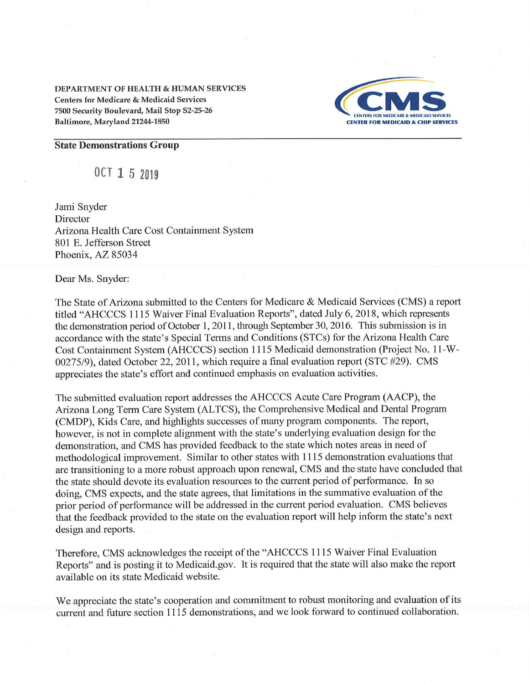DEPARTMENT OF HEALTH & HUMAN SERVICES Centers for Medicare & Medicaid Services 7500 Security Boulevard, Mail Stop 32-25-26 Baltimore, Maryland 21244-1850



## State Demonstrations Group

OCT 1 5 2019

Jami Snyder Director Arizona Health Care Cost Containment System 801 E. Jefferson Street Phoenix, AZ 85034

Dear Ms. Snyder:

The State of Arizona submitted to the Centers for Medicare & Medicaid Services (CMS) a report titled "AHCCCS 1115 Waiver Final Evaluation Reports", dated July 6, 2018, which represents the demonstration period of October 1,2011, through September 30,2016. This submission is in accordance with the state's Special Terms and Conditions (STCs) for the Arizona Health Care Cost Containment System (AHCCCS) section I I 15 Medicaid demonstration (Project No. 11-W-0027519), dated October 22,2011, which require a final evaluation report (STC #29). CMS appreciates the state's effort and continued emphasis on evaluation activities.

The submitted evaluation report addresses the AHCCCS Acute Care Program (AACP), the Arizona Long Term Care System (ALTCS), the Comprehensive Medical and Dental Program (CMDP), Kids Care, and highlights successes of many program components. The report, however, is not in complete alignment with the state's underlying evaluation design for the demonstration, and CMS has provided feedback to the state which notes areas in need of methodological improvement. Similar to other states with 1115 demonstration evaluations that are transitioning to a more robust approach upon renewal, CMS and the state have concluded that the state should devote its evaluation resources to the current period of performance. In so doing, CMS expects, and the state agrees, that limitations in the summative evaluation of the prior period of performance will be addressed in the current period evaluation. CMS believes that the feedback provided to the state on the evaluation report will help inform the state's next design and reports.

Therefore, CMS acknowledges the receipt of the "AHCCCS 1115 Waiver Final Evaluation Reports" and is posting it to Medicaid.gov. It is required that the state will also make the report available on its state Medicaid website.

We appreciate the state's cooperation and commitment to robust monitoring and evaluation of its current and future section I115 demonstrations, and we look forward to continued collaboration.